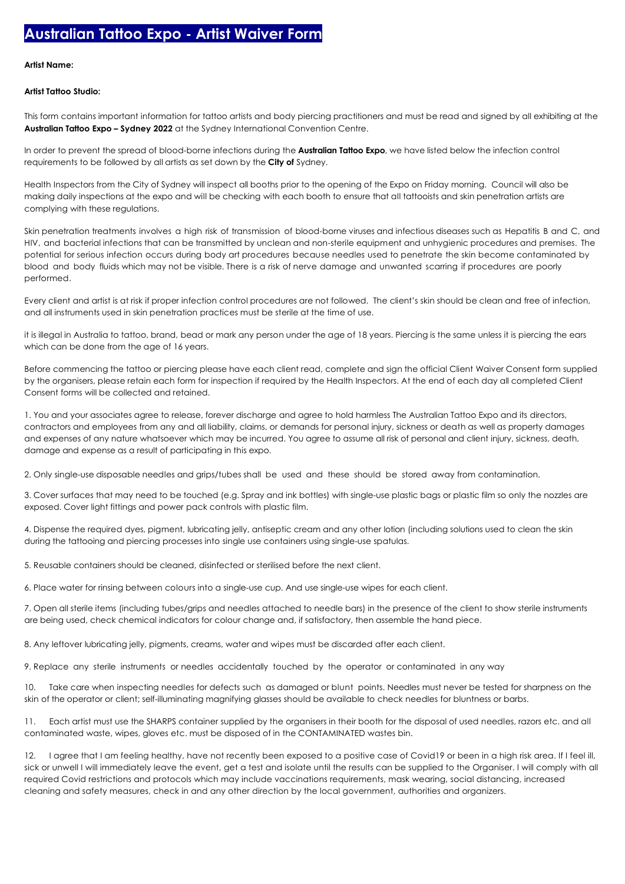## **Artist Name:**

## **Artist Tattoo Studio:**

This form contains important information for tattoo artists and body piercing practitioners and must be read and signed by all exhibiting at the **Australian Tattoo Expo – Sydney 2022** at the Sydney International Convention Centre.

In order to prevent the spread of blood-borne infections during the **Australian Tattoo Expo**, we have listed below the infection control requirements to be followed by all artists as set down by the **City of** Sydney.

Health Inspectors from the City of Sydney will inspect all booths prior to the opening of the Expo on Friday morning. Council will also be making daily inspections at the expo and will be checking with each booth to ensure that all tattooists and skin penetration artists are complying with these regulations.

Skin penetration treatments involves a high risk of transmission of blood-borne viruses and infectious diseases such as Hepatitis B and C, and HIV, and bacterial infections that can be transmitted by unclean and non-sterile equipment and unhygienic procedures and premises. The potential for serious infection occurs during body art procedures because needles used to penetrate the skin become contaminated by blood and body fluids which may not be visible. There is a risk of nerve damage and unwanted scarring if procedures are poorly performed.

Every client and artist is at risk if proper infection control procedures are not followed. The client's skin should be clean and free of infection, and all instruments used in skin penetration practices must be sterile at the time of use.

it is illegal in Australia to tattoo, brand, bead or mark any person under the age of 18 years. Piercing is the same unless it is piercing the ears which can be done from the age of 16 years.

Before commencing the tattoo or piercing please have each client read, complete and sign the official Client Waiver Consent form supplied by the organisers, please retain each form for inspection if required by the Health Inspectors. At the end of each day all completed Client Consent forms will be collected and retained.

1. You and your associates agree to release, forever discharge and agree to hold harmless The Australian Tattoo Expo and its directors, contractors and employees from any and all liability, claims, or demands for personal injury, sickness or death as well as property damages and expenses of any nature whatsoever which may be incurred. You agree to assume all risk of personal and client injury, sickness, death, damage and expense as a result of participating in this expo.

2. Only single-use disposable needles and grips/tubes shall be used and these should be stored away from contamination.

3. Cover surfaces that may need to be touched (e.g. Spray and ink bottles) with single-use plastic bags or plastic film so only the nozzles are exposed. Cover light fittings and power pack controls with plastic film.

4. Dispense the required dyes, pigment, lubricating jelly, antiseptic cream and any other lotion (including solutions used to clean the skin during the tattooing and piercing processes into single use containers using single-use spatulas.

5. Reusable containers should be cleaned, disinfected or sterilised before the next client.

6. Place water for rinsing between colours into a single-use cup. And use single-use wipes for each client.

7. Open all sterile items (including tubes/grips and needles attached to needle bars) in the presence of the client to show sterile instruments are being used, check chemical indicators for colour change and, if satisfactory, then assemble the hand piece.

8. Any leftover lubricating jelly, pigments, creams, water and wipes must be discarded after each client.

9. Replace any sterile instruments or needles accidentally touched by the operator or contaminated in any way

10. Take care when inspecting needles for defects such as damaged or blunt points. Needles must never be tested for sharpness on the skin of the operator or client; self-illuminating magnifying glasses should be available to check needles for bluntness or barbs.

11. Each artist must use the SHARPS container supplied by the organisers in their booth for the disposal of used needles, razors etc. and all contaminated waste, wipes, gloves etc. must be disposed of in the CONTAMINATED wastes bin.

12. I agree that I am feeling healthy, have not recently been exposed to a positive case of Covid19 or been in a high risk area. If I feel ill, sick or unwell I will immediately leave the event, get a test and isolate until the results can be supplied to the Organiser. I will comply with all required Covid restrictions and protocols which may include vaccinations requirements, mask wearing, social distancing, increased cleaning and safety measures, check in and any other direction by the local government, authorities and organizers.